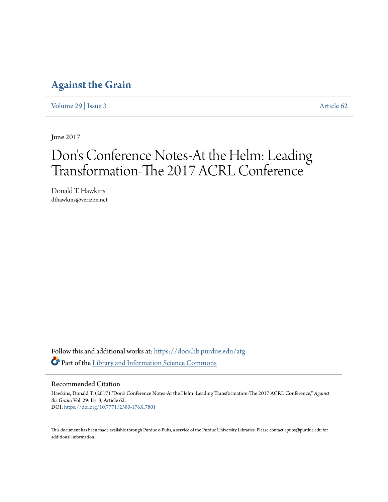## **[Against the Grain](https://docs.lib.purdue.edu/atg?utm_source=docs.lib.purdue.edu%2Fatg%2Fvol29%2Fiss3%2F62&utm_medium=PDF&utm_campaign=PDFCoverPages)**

[Volume 29](https://docs.lib.purdue.edu/atg/vol29?utm_source=docs.lib.purdue.edu%2Fatg%2Fvol29%2Fiss3%2F62&utm_medium=PDF&utm_campaign=PDFCoverPages) | [Issue 3](https://docs.lib.purdue.edu/atg/vol29/iss3?utm_source=docs.lib.purdue.edu%2Fatg%2Fvol29%2Fiss3%2F62&utm_medium=PDF&utm_campaign=PDFCoverPages) [Article 62](https://docs.lib.purdue.edu/atg/vol29/iss3/62?utm_source=docs.lib.purdue.edu%2Fatg%2Fvol29%2Fiss3%2F62&utm_medium=PDF&utm_campaign=PDFCoverPages)

June 2017

## Don 's Conference Notes-At the Helm: Leading Transformation-The 2017 ACRL Conference

Donald T. Hawkins dthawkins@verizon.net

Follow this and additional works at: [https://docs.lib.purdue.edu/atg](https://docs.lib.purdue.edu/atg?utm_source=docs.lib.purdue.edu%2Fatg%2Fvol29%2Fiss3%2F62&utm_medium=PDF&utm_campaign=PDFCoverPages) Part of the [Library and Information Science Commons](http://network.bepress.com/hgg/discipline/1018?utm_source=docs.lib.purdue.edu%2Fatg%2Fvol29%2Fiss3%2F62&utm_medium=PDF&utm_campaign=PDFCoverPages)

Recommended Citation

Hawkins, Donald T. (2017) "Don's Conference Notes-At the Helm: Leading Transformation-The 2017 ACRL Conference," *Against the Grain*: Vol. 29: Iss. 3, Article 62. DOI: <https://doi.org/10.7771/2380-176X.7801>

This document has been made available through Purdue e-Pubs, a service of the Purdue University Libraries. Please contact epubs@purdue.edu for additional information.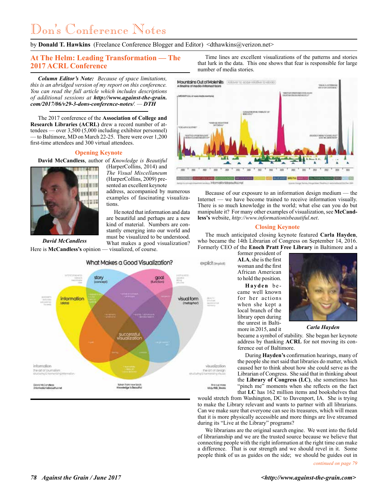# Don's Conference Notes

by **Donald T. Hawkins** (Freelance Conference Blogger and Editor) <dthawkins@verizon.net>

## **At The Helm: Leading Transformation — The 2017 ACRL Conference**

*Column Editor's Note: Because of space limitations, this is an abridged version of my report on this conference. You can read the full article which includes descriptions of additional sessions at http://www.against-the-grain. com/2017/06/v29-3-dons-conference-notes/. — DTH*

The 2017 conference of the **Association of College and Research Libraries (ACRL)** drew a record number of attendees — over 3,500 (5,000 including exhibitor personnel) to Baltimore, MD on March 22-25. There were over 1,200 first-time attendees and 300 virtual attendees.

## **Opening Keynote**

**David McCandless**, author of *Knowledge is Beautiful*



*David McCandless*

(HarperCollins, 2014) and *The Visual Miscellaneum* (HarperCollins, 2009) presented an excellent keynote

address, accompanied by numerous examples of fascinating visualizations.

He noted that information and data are beautiful and perhaps are a new kind of material. Numbers are constantly emerging into our world and must be visualized to be understood. What makes a good visualization? Here is **McCandless's** opinion — visualized, of course.



Time lines are excellent visualizations of the patterns and stories that lurk in the data. This one shows that fear is responsible for large number of media stories.



Because of our exposure to an information design medium — the Internet — we have become trained to receive information visually. There is so much knowledge in the world; what else can you do but manipulate it? For many other examples of visualization, see **McCandless's** website, *http://www.informationisbeautiful.net*.

## **Closing Keynote**

The much anticipated closing keynote featured **Carla Hayden**, who became the 14th Librarian of Congress on September 14, 2016. Formerly CEO of the **Enoch Pratt Free Library** in Baltimore and a

former president of **ALA**, she is the first woman and the first African American to hold the position.

**Hayden** be came well known for her actions when she kept a local branch of the library open during the unrest in Baltimore in 2015, and it



*Carla Hayden*

became a symbol of stability. She began her keynote address by thanking **ACRL** for not moving its conference out of Baltimore.

During **Hayden's** confirmation hearings, many of the people she met said that libraries do matter, which caused her to think about how she could serve as the Librarian of Congress. She said that in thinking about the **Library of Congress (LC)**, she sometimes has "pinch me" moments when she reflects on the fact that **LC** has 162 million items and bookshelves that

would stretch from Washington, DC to Davenport, IA. She is trying to make the Library relevant and wants to partner with all librarians. Can we make sure that everyone can see its treasures, which will mean that it is more physically accessible and more things are live streamed during its "Live at the Library" programs?

We librarians are the original search engine. We went into the field of librarianship and we are the trusted source because we believe that connecting people with the right information at the right time can make a difference. That is our strength and we should revel in it. Some people think of us as guides on the side; we should be guides out in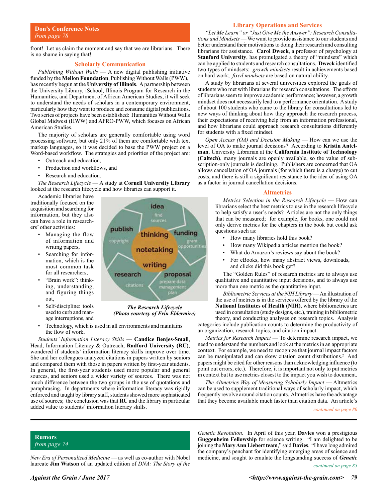front! Let us claim the moment and say that we are librarians. There is no shame in saying that!

### **Scholarly Communication**

*Publishing Without Walls* — A new digital publishing initiative funded by the **Mellon Foundation**, Publishing Without Walls (PWW),<sup>1</sup> has recently begun at the **University of Illinois**. A partnership between the University Library, iSchool, Illinois Program for Research in the Humanities, and Department of African American Studies, it will seek to understand the needs of scholars in a contemporary environment, particularly how they want to produce and consume digital publications. Two series of projects have been established: Humanities Without Walls Global Midwest (HWW) and AFRO-PWW, which focuses on African American Studies.

The majority of scholars are generally comfortable using word processing software, but only 21% of them are comfortable with text markup languages, so it was decided to base the PWW project on a Word-based workflow. The strategies and priorities of the project are:

- Outreach and education,
- Production and workflows, and
- Research and education.

*The Research Lifecycle* — A study at **Cornell University Library** looked at the research lifecycle and how libraries can support it.

Academic libraries have traditionally focused on the acquisition and searching for information, but they also can have a role in researchers' other activities:

- Managing the flow of information and writing papers,
- Searching for information, which is the most common task for all researchers,
- "Brain work": thinking, understanding, and figuring things out,
- Self-discipline: tools used to curb and manage interruptions, and
- Technology, which is used in all environments and maintains the flow of work.

*Students' Information Literacy Skills* — **Candice Benjes-Small**, Head, Information Literacy & Outreach, **Radford University (RU)**, wondered if students' information literacy skills improve over time. She and her colleagues analyzed citations in papers written by seniors and compared them with those in papers written by first-year students. In general, the first-year students used more popular and general sources, and seniors used a wider variety of sources. There was not much difference between the two groups in the use of quotations and paraphrasing. In departments where information literacy was rigidly enforced and taught by library staff, students showed more sophisticated use of sources; the conclusion was that **RU** and the library in particular added value to students' information literacy skills.

## *"Let Me Learn" or "Just Give Me the Answer": Research Consultations and Mindsets* — We want to provide assistance to our students and better understand their motivations to doing their research and consulting librarians for assistance. **Carol Dweck**, a professor of psychology at **Stanford University**, has promulgated a theory of "mindsets" which can be applied to students and research consultations. **Dweck** identified two types of mindsets: *growth mindsets* result in achievements based

on hard work; *fixed mindsets* are based on natural ability. A study by librarians at several universities explored the goals of students who met with librarians for research consultations. The efforts of librarians seem to improve academic performance; however, a growth mindset does not necessarily lead to a performance orientation. A study of about 100 students who came to the library for consultations led to new ways of thinking about how they approach the research process, their expectations of receiving help from an information professional, and how librarians could approach research consultations differently for students with a fixed mindset.

*Open Access (OA) and Decision Making* — How can we use the level of OA to make journal decisions? According to **Kristin Antelman**, University Librarian at the **California Institute of Technology (Caltech)**, many journals are openly available, so the value of subscription-only journals is declining. Publishers are concerned that OA allows cancellation of OA journals (for which there is a charge) to cut costs, and there is still a significant resistance to the idea of using OA as a factor in journal cancellation decisions.

#### **Altmetrics**

*Metrics Selection in the Research Lifecycle* — How can librarians select the best metrics to use in the research lifecycle to help satisfy a user's needs? Articles are not the only things that can be measured; for example, for books, one could not only derive metrics for the chapters in the book but could ask questions such as:

- How many libraries hold this book?
- How many Wikipedia articles mention the book?
- What do Amazon's reviews say about the book?
- For eBooks, how many abstract views, downloads, and clicks did this book get?

The "Golden Rules" of research metrics are to always use qualitative and quantitative input decisions, and to always use more than one metric as the quantitative input.

*Bibliometric Services at the NIH Library* — An illustration of the use of metrics is in the services offered by the library of the **National Institutes of Health (NIH)**, where bibliometrics are used in consultation (study designs, etc.), training in bibliometric theory, and conducting analyses on research topics. Analysis categories include publication counts to determine the productivity of

an organization, research topics, and citation impact. *Metrics for Research Impact* — To determine research impact, we need to understand the numbers and look at the metrics in an appropriate context. For example, we need to recognize that journal impact factors can be manipulated and can skew citation count distributions.<sup>2</sup> And papers might be cited for other reasons than acknowledging influence (to

in context but to use metrics closest to the impact you wish to document. *The Altmetrics Way of Measuring Scholarly Impact* — Altmetrics can be used to supplement traditional ways of scholarly impact, which frequently revolve around citation counts. Altmetrics have the advantage that they become available much faster than citation data. An article's

point out errors, etc.). Therefore, it is important not only to put metrics

*continued on page 80*

**Rumors** *from page 74*

*New Era of Personalized Medicine* — as well as co-author with Nobel laureate **Jim Watson** of an updated edition of *DNA: The Story of the* 

*continued on page 85 Genetic Revolution.* In April of this year, **Davies** won a prestigious **Guggenheim Fellowship** for science writing. "I am delighted to be joining the **Mary Ann Liebert team**," said **Davies**. "I have long admired the company's penchant for identifying emerging areas of science and medicine, and sought to emulate the longstanding success of *Genetic* 



*The Research Lifecycle (Photo courtesy of Erin Eldermire)*

## **Library Operations and Services**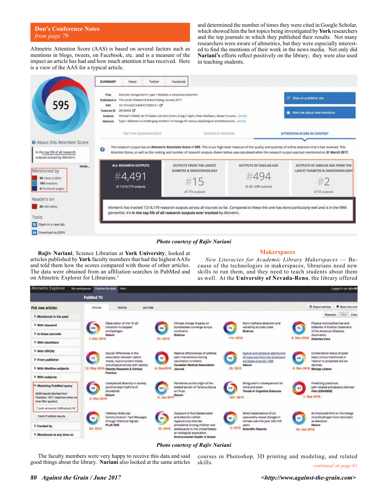**Don's Conference Notes** *from page 79*

Altmetric Attention Score (AAS) is based on several factors such as mentions in blogs, tweets, on Facebook, etc. and is a measure of the impact an article has had and how much attention it has received. Here is a view of the AAS for a typical article.

and determined the number of times they were cited in Google Scholar, which showed him the hot topics being investigated by **York** researchers and the top journals in which they published their results. Not many researchers were aware of altmetrics, but they were especially interested to find the mentions of their work in the news media. Not only did **Nariani's** efforts reflect positively on the library; they were also used in teaching students.



## *Photo courtesy of Rajiv Nariani*

**Rajiv Nariani**, Science Librarian at **York University**, looked at articles published by **York** faculty members that had the highest AASs and told them how the scores compared with those of other articles. The data were obtained from an affiliation searches in PubMed and on Altmetric Explorer for Librarians.<sup>3</sup>

## **Makerspaces**

*New Literacies for Academic Library Makerspaces* — Because of the technologies in makerspaces, librarians need new skills to run them, and they need to teach students about them as well. At the **University of Nevada-Reno**, the library offered



## *Photo courtesy of Rajiv Nariani*

The faculty members were very happy to receive this data and said good things about the library. **Nariani** also looked at the same articles

*continued on page 81* courses in Photoshop, 3D printing and modeling, and related skills.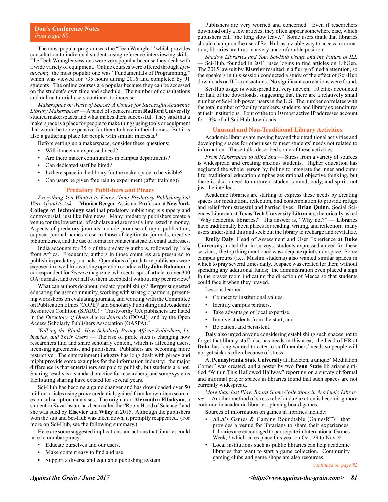The most popular program was the "Tech Wrangler," which provides consultation to individual students using reference interviewing skills. The Tech Wrangler sessions were very popular because they dealt with a wide variety of equipment. Online courses were offered through *Lynda.com*; the most popular one was "Fundamentals of Programming," which was viewed for 735 hours during 2016 and completed by 91 students. The online courses are popular because they can be accessed on the student's own time and schedule. The number of consultations and online tutorial users continues to increase.

*Makerspace or Waste of Space? A Course for Successful Academic Library Makerspaces* — A panel of speakers from **Radford University** studied makerspaces and what makes them successful. They said that a makerspace is a place for people to make things using tools or equipment that would be too expensive for them to have in their homes. But it is also a gathering place for people with similar interests.4

Before setting up a makerspace, consider these questions:

- Will it meet an expressed need?
- Are there maker communities in campus departments?
- Can dedicated staff be hired?
- Is there space in the library for the makerspace to be visible?
- Can users be given free rein to experiment (after training)?

#### **Predatory Publishers and Piracy**

*Everything You Wanted to Know About Predatory Publishing but Were Afraid to Ask* — **Monica Berger**, Assistant Professor at **New York College of Technology** said that predatory publishing is slippery and controversial, just like fake news. Many predatory publishers create a venue for the lowest tier of scholars and are mostly interested in money. Aspects of predatory journals include promise of rapid publication, copycat journal names close to those of legitimate journals, creative bibliometrics, and the use of forms for contact instead of email addresses.

India accounts for 35% of the predatory authors, followed by 16% from Africa. Frequently, authors in those countries are pressured to publish in predatory journals. Operations of predatory publishers were exposed in a well-known sting operation conducted by **John Bohanon**, a correspondent for *Science* magazine, who sent a spoof article to over 300 OA journals, and over half of them accepted it without any peer review.5

What can authors do about predatory publishing? **Berger** suggested educating the user community, working with strategic partners, presenting workshops on evaluating journals, and working with the Committee on Publication Ethics (COPE)6 and Scholarly Publishing and Academic Resources Coalition (SPARC).<sup>7</sup> Trustworthy OA publishers are listed in the *Directory of Open Access Journals* (DOAJ)8 and by the Open Access Scholarly Publishers Association (OASPA).9

*Walking the Plank: How Scholarly Piracy Affects Publishers, Libraries, and Their Users* — The rise of pirate sites is changing how researchers find and share scholarly content, which is affecting users, licensing agreements, and publishers. Publishers are becoming more restrictive. The entertainment industry has long dealt with piracy and might provide some examples for the information industry; the major difference is that entertainers are paid to publish, but students are not. Sharing results is a standard practice for researchers, and some systems facilitating sharing have existed for several years.

Sci-Hub has become a game changer and has downloaded over 50 million articles using proxy credentials gained from known-item searches on subscription databases. The originator, **Alexandra Elbakyan**, a student in Kazakhstan, has been called the "Robin Hood of Science," and she was sued by **Elsevier** and **Wiley** in 2015. Although the publishers won the suit and Sci-Hub was taken down, it promptly reappeared. (For more on Sci-Hub, see the following summary.)

Here are some suggested implications and actions that libraries could take to combat piracy:

- Educate ourselves and our users.
- Make content easy to find and use.
- Support a diverse and equitable publishing system.

Publishers are very worried and concerned. Even if researchers download only a few articles, they often appear somewhere else, which publishers call "the long slow leave." Some users think that libraries should champion the use of Sci-Hub as a viable way to access information; libraries are thus in a very uncomfortable position.

*Shadow Libraries and You: Sci-Hub Usage and the Future of ILL* — Sci-Hub, founded in 2011, uses logins to find articles on LibGen. The 2015 lawsuit by **Elsevier** resulted in a flurry of media attention, so the speakers in this session conducted a study of the effect of Sci-Hub downloads on ILL transactions. No significant correlations were found.

Sci-Hub usage is widespread but very uneven; 10 cities accounted for half of the downloads, suggesting that there are a relatively small number of Sci-Hub power users in the U.S. The number correlates with the total number of faculty members, students, and library expenditures at their institutions. Four of the top 10 most active IP addresses account for 13% of all Sci-Hub downloads.

### **Unusual and Non-Traditional Library Activities**

Academic libraries are moving beyond their traditional activities and developing spaces for other uses to meet students' needs not related to information. These talks described some of these activities.

*From Makerspace to Mind Spa* — Stress from a variety of sources is widespread and creating anxious students. Higher education has neglected the whole person by failing to integrate the inner and outer life; traditional education emphasizes rational objective thinking, but there is also a need to nurture a student's mind, body, and spirit, not just the intellect.

Academic libraries are starting to express these needs by creating spaces for meditation, reflection, and contemplation to provide refuge and relief from stressful and harried lives. **Brian Quinn**, Social Sciences Librarian at **Texas Tech University Libraries**, rhetorically asked "Why academic libraries?" His answer is, "Why not?" — Libraries have traditionally been places for reading, writing, and reflection; many users understand this and seek out the library to recharge and revitalize.

**Emily Daly**, Head of Assessment and User Experience at **Duke University**, noted that in surveys, students expressed a need for these services; the top thing mentioned was adequate quiet study space. Some campus groups (i.e., Muslim students) also wanted similar spaces in which to pray several times daily. A space was created for them without spending any additional funds; the administration even placed a sign in the prayer room indicating the direction of Mecca so that students could face it when they prayed.

Lessons learned:

- Connect to institutional values,
- Identify campus partners,
- Take advantage of local expertise,
- Involve students from the start, and
- Be patient and persistent.

**Daly** also urged anyone considering establishing such spaces not to forget that library staff also has needs in this area; the head of HR at **Duke** has long wanted to cater to staff members' needs so people will not get sick as often because of stress.

At **Pennsylvania State University** at Hazleton, a unique "Meditation Corner" was created, and a poster by two **Penn State** librarians entitled "Within This Hallowed Hallway" reporting on a survey of formal and informal prayer spaces in libraries found that such spaces are not currently widespread.

*More than Just Play: Board Game Collections in Academic Libraries* — Another method of stress relief and relaxation is becoming more common in academic libraries: playing board games.

Sources of information on games in libraries include:

- **ALA's** Games & Gaming Roundtable (GamesRT)<sup>10</sup> that provides a venue for librarians to share their experiences. Libraries are encouraged to participate in International Games Week, $11$  which takes place this year on Oct. 29 to Nov. 4.
- Local institutions such as public libraries can help academic libraries that want to start a game collection. Community gaming clubs and game shops are also resources.

*continued on page 82*